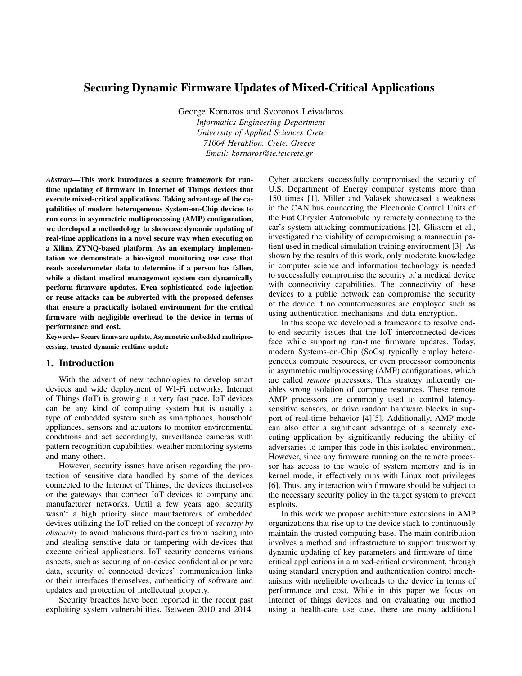# Securing Dynamic Firmware Updates of Mixed-Critical Applications

George Kornaros and Svoronos Leivadaros *Informatics Engineering Department University of Applied Sciences Crete 71004 Heraklion, Crete, Greece Email: kornaros@ie.teicrete.gr*

*Abstract*—This work introduces a secure framework for runtime updating of firmware in Internet of Things devices that execute mixed-critical applications. Taking advantage of the capabilities of modern heterogeneous System-on-Chip devices to run cores in asymmetric multiprocessing (AMP) configuration, we developed a methodology to showcase dynamic updating of real-time applications in a novel secure way when executing on a Xilinx ZYNQ-based platform. As an exemplary implementation we demonstrate a bio-signal monitoring use case that reads accelerometer data to determine if a person has fallen, while a distant medical management system can dynamically perform firmware updates. Even sophisticated code injection or reuse attacks can be subverted with the proposed defenses that ensure a practically isolated environment for the critical firmware with negligible overhead to the device in terms of performance and cost.

Keywords– Secure firmware update, Asymmetric embedded multriprocessing, trusted dynamic realtime update

## 1. Introduction

With the advent of new technologies to develop smart devices and wide deployment of WI-Fi networks, Internet of Things (IoT) is growing at a very fast pace. IoT devices can be any kind of computing system but is usually a type of embedded system such as smartphones, household appliances, sensors and actuators to monitor environmental conditions and act accordingly, surveillance cameras with pattern recognition capabilities, weather monitoring systems and many others.

However, security issues have arisen regarding the protection of sensitive data handled by some of the devices connected to the Internet of Things, the devices themselves or the gateways that connect IoT devices to company and manufacturer networks. Until a few years ago, security wasn't a high priority since manufacturers of embedded devices utilizing the IoT relied on the concept of *security by obscurity* to avoid malicious third-parties from hacking into and stealing sensitive data or tampering with devices that execute critical applications. IoT security concerns various aspects, such as securing of on-device confidential or private data, security of connected devices' communication links or their interfaces themselves, authenticity of software and updates and protection of intellectual property.

Security breaches have been reported in the recent past exploiting system vulnerabilities. Between 2010 and 2014, Cyber attackers successfully compromised the security of U.S. Department of Energy computer systems more than 150 times [1]. Miller and Valasek showcased a weakness in the CAN bus connecting the Electronic Control Units of the Fiat Chrysler Automobile by remotely connecting to the car's system attacking communications [2]. Glissom et al., investigated the viability of compromising a mannequin patient used in medical simulation training environment [3]. As shown by the results of this work, only moderate knowledge in computer science and information technology is needed to successfully compromise the security of a medical device with connectivity capabilities. The connectivity of these devices to a public network can compromise the security of the device if no countermeasures are employed such as using authentication mechanisms and data encryption.

In this scope we developed a framework to resolve endto-end security issues that the IoT interconnected devices face while supporting run-time firmware updates. Today, modern Systems-on-Chip (SoCs) typically employ heterogeneous compute resources, or even processor components in asymmetric multiprocessing (AMP) configurations, which are called *remote* processors. This strategy inherently enables strong isolation of compute resources. These remote AMP processors are commonly used to control latencysensitive sensors, or drive random hardware blocks in support of real-time behavior [4][5]. Additionally, AMP mode can also offer a significant advantage of a securely executing application by significantly reducing the ability of adversaries to tamper this code in this isolated environment. However, since any firmware running on the remote processor has access to the whole of system memory and is in kernel mode, it effectively runs with Linux root privileges [6]. Thus, any interaction with firmware should be subject to the necessary security policy in the target system to prevent exploits.

In this work we propose architecture extensions in AMP organizations that rise up to the device stack to continuously maintain the trusted computing base. The main contribution involves a method and infrastructure to support trustworthy dynamic updating of key parameters and firmware of timecritical applications in a mixed-critical environment, through using standard encryption and authentication control mechanisms with negligible overheads to the device in terms of performance and cost. While in this paper we focus on Internet of things devices and on evaluating our method using a health-care use case, there are many additional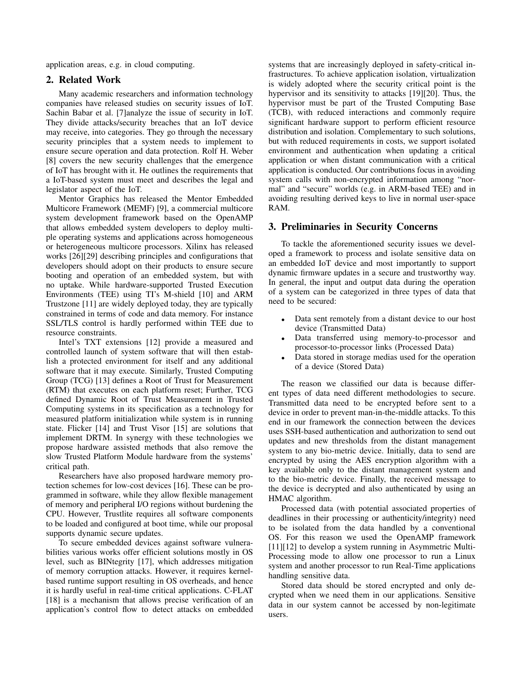application areas, e.g. in cloud computing.

## 2. Related Work

Many academic researchers and information technology companies have released studies on security issues of IoT. Sachin Babar et al. [7]analyze the issue of security in IoT. They divide attacks/security breaches that an IoT device may receive, into categories. They go through the necessary security principles that a system needs to implement to ensure secure operation and data protection. Rolf H. Weber [8] covers the new security challenges that the emergence of IoT has brought with it. He outlines the requirements that a IoT-based system must meet and describes the legal and legislator aspect of the IoT.

Mentor Graphics has released the Mentor Embedded Multicore Framework (MEMF) [9], a commercial multicore system development framework based on the OpenAMP that allows embedded system developers to deploy multiple operating systems and applications across homogeneous or heterogeneous multicore processors. Xilinx has released works [26][29] describing principles and configurations that developers should adopt on their products to ensure secure booting and operation of an embedded system, but with no uptake. While hardware-supported Trusted Execution Environments (TEE) using TI's M-shield [10] and ARM Trustzone [11] are widely deployed today, they are typically constrained in terms of code and data memory. For instance SSL/TLS control is hardly performed within TEE due to resource constraints.

Intel's TXT extensions [12] provide a measured and controlled launch of system software that will then establish a protected environment for itself and any additional software that it may execute. Similarly, Trusted Computing Group (TCG) [13] defines a Root of Trust for Measurement (RTM) that executes on each platform reset; Further, TCG defined Dynamic Root of Trust Measurement in Trusted Computing systems in its specification as a technology for measured platform initialization while system is in running state. Flicker [14] and Trust Visor [15] are solutions that implement DRTM. In synergy with these technologies we propose hardware assisted methods that also remove the slow Trusted Platform Module hardware from the systems' critical path.

Researchers have also proposed hardware memory protection schemes for low-cost devices [16]. These can be programmed in software, while they allow flexible management of memory and peripheral I/O regions without burdening the CPU. However, Trustlite requires all software components to be loaded and configured at boot time, while our proposal supports dynamic secure updates.

To secure embedded devices against software vulnerabilities various works offer efficient solutions mostly in OS level, such as BINtegrity [17], which addresses mitigation of memory corruption attacks. However, it requires kernelbased runtime support resulting in OS overheads, and hence it is hardly useful in real-time critical applications. C-FLAT [18] is a mechanism that allows precise verification of an application's control flow to detect attacks on embedded systems that are increasingly deployed in safety-critical infrastructures. To achieve application isolation, virtualization is widely adopted where the security critical point is the hypervisor and its sensitivity to attacks [19][20]. Thus, the hypervisor must be part of the Trusted Computing Base (TCB), with reduced interactions and commonly require significant hardware support to perform efficient resource distribution and isolation. Complementary to such solutions, but with reduced requirements in costs, we support isolated environment and authentication when updating a critical application or when distant communication with a critical application is conducted. Our contributions focus in avoiding system calls with non-encrypted information among "normal" and "secure" worlds (e.g. in ARM-based TEE) and in avoiding resulting derived keys to live in normal user-space RAM.

## 3. Preliminaries in Security Concerns

To tackle the aforementioned security issues we developed a framework to process and isolate sensitive data on an embedded IoT device and most importantly to support dynamic firmware updates in a secure and trustworthy way. In general, the input and output data during the operation of a system can be categorized in three types of data that need to be secured:

- Data sent remotely from a distant device to our host device (Transmitted Data)
- Data transferred using memory-to-processor and processor-to-processor links (Processed Data)
- Data stored in storage medias used for the operation of a device (Stored Data)

The reason we classified our data is because different types of data need different methodologies to secure. Transmitted data need to be encrypted before sent to a device in order to prevent man-in-the-middle attacks. To this end in our framework the connection between the devices uses SSH-based authentication and authorization to send out updates and new thresholds from the distant management system to any bio-metric device. Initially, data to send are encrypted by using the AES encryption algorithm with a key available only to the distant management system and to the bio-metric device. Finally, the received message to the device is decrypted and also authenticated by using an HMAC algorithm.

Processed data (with potential associated properties of deadlines in their processing or authenticity/integrity) need to be isolated from the data handled by a conventional OS. For this reason we used the OpenAMP framework [11][12] to develop a system running in Asymmetric Multi-Processing mode to allow one processor to run a Linux system and another processor to run Real-Time applications handling sensitive data.

Stored data should be stored encrypted and only decrypted when we need them in our applications. Sensitive data in our system cannot be accessed by non-legitimate users.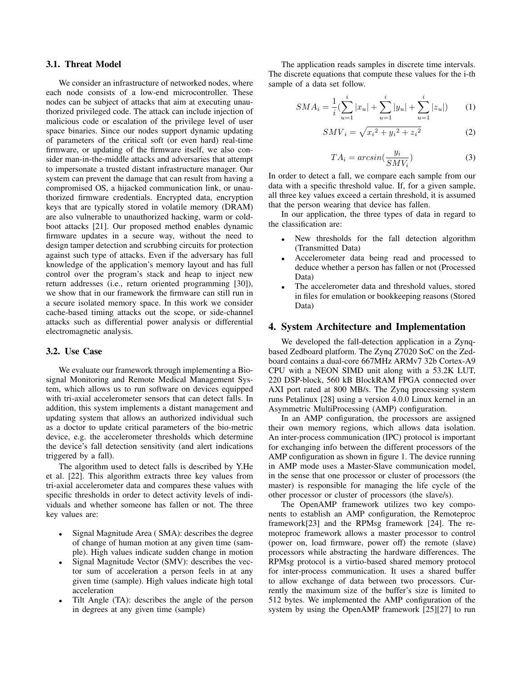## 3.1. Threat Model

We consider an infrastructure of networked nodes, where each node consists of a low-end microcontroller. These nodes can be subject of attacks that aim at executing unauthorized privileged code. The attack can include injection of malicious code or escalation of the privilege level of user space binaries. Since our nodes support dynamic updating of parameters of the critical soft (or even hard) real-time firmware, or updating of the firmware itself, we also consider man-in-the-middle attacks and adversaries that attempt to impersonate a trusted distant infrastructure manager. Our system can prevent the damage that can result from having a compromised OS, a hijacked communication link, or unauthorized firmware credentials. Encrypted data, encryption keys that are typically stored in volatile memory (DRAM) are also vulnerable to unauthorized hacking, warm or coldboot attacks [21]. Our proposed method enables dynamic firmware updates in a secure way, without the need to design tamper detection and scrubbing circuits for protection against such type of attacks. Even if the adversary has full knowledge of the application's memory layout and has full control over the program's stack and heap to inject new return addresses (i.e., return oriented programming [30]), we show that in our framework the firmware can still run in a secure isolated memory space. In this work we consider cache-based timing attacks out the scope, or side-channel attacks such as differential power analysis or differential electromagnetic analysis.

## 3.2. Use Case

We evaluate our framework through implementing a Biosignal Monitoring and Remote Medical Management System, which allows us to run software on devices equipped with tri-axial accelerometer sensors that can detect falls. In addition, this system implements a distant management and updating system that allows an authorized individual such as a doctor to update critical parameters of the bio-metric device, e.g. the accelerometer thresholds which determine the device's fall detection sensitivity (and alert indications triggered by a fall).

The algorithm used to detect falls is described by Y.He et al. [22]. This algorithm extracts three key values from tri-axial accelerometer data and compares these values with specific thresholds in order to detect activity levels of individuals and whether someone has fallen or not. The three key values are:

- Signal Magnitude Area (SMA): describes the degree of change of human motion at any given time (sample). High values indicate sudden change in motion
- Signal Magnitude Vector (SMV): describes the vector sum of acceleration a person feels in at any given time (sample). High values indicate high total acceleration
- Tilt Angle (TA): describes the angle of the person in degrees at any given time (sample)

The application reads samples in discrete time intervals. The discrete equations that compute these values for the i-th sample of a data set follow.

$$
SMA_i = \frac{1}{i} \left( \sum_{u=1}^{i} |x_u| + \sum_{u=1}^{i} |y_u| + \sum_{u=1}^{i} |z_u| \right) \tag{1}
$$

$$
SMV_i = \sqrt{{x_i}^2 + {y_i}^2 + {z_i}^2}
$$
 (2)

$$
TA_i = \arcsin\left(\frac{y_i}{SMV_i}\right) \tag{3}
$$

In order to detect a fall, we compare each sample from our data with a specific threshold value. If, for a given sample, all three key values exceed a certain threshold, it is assumed that the person wearing that device has fallen.

In our application, the three types of data in regard to the classification are:

- New thresholds for the fall detection algorithm (Transmitted Data)
- Accelerometer data being read and processed to deduce whether a person has fallen or not (Processed Data)
- The accelerometer data and threshold values, stored in files for emulation or bookkeeping reasons (Stored Data)

## 4. System Architecture and Implementation

We developed the fall-detection application in a Zynqbased Zedboard platform. The Zynq Z7020 SoC on the Zedboard contains a dual-core 667MHz ARMv7 32b Cortex-A9 CPU with a NEON SIMD unit along with a 53.2K LUT, 220 DSP-block, 560 kB BlockRAM FPGA connected over AXI port rated at 800 MB/s. The Zynq processing system runs Petalinux [28] using a version 4.0.0 Linux kernel in an Asymmetric MultiProcessing (AMP) configuration.

In an AMP configuration, the processors are assigned their own memory regions, which allows data isolation. An inter-process communication (IPC) protocol is important for exchanging info between the different processors of the AMP configuration as shown in figure 1. The device running in AMP mode uses a Master-Slave communication model, in the sense that one processor or cluster of processors (the master) is responsible for managing the life cycle of the other processor or cluster of processors (the slave/s).

The OpenAMP framework utilizes two key components to establish an AMP configuration, the Remoteproc framework[23] and the RPMsg framework [24]. The remoteproc framework allows a master processor to control (power on, load firmware, power off) the remote (slave) processors while abstracting the hardware differences. The RPMsg protocol is a virtio-based shared memory protocol for inter-process communication. It uses a shared buffer to allow exchange of data between two processors. Currently the maximum size of the buffer's size is limited to 512 bytes. We implemented the AMP configuration of the system by using the OpenAMP framework [25][27] to run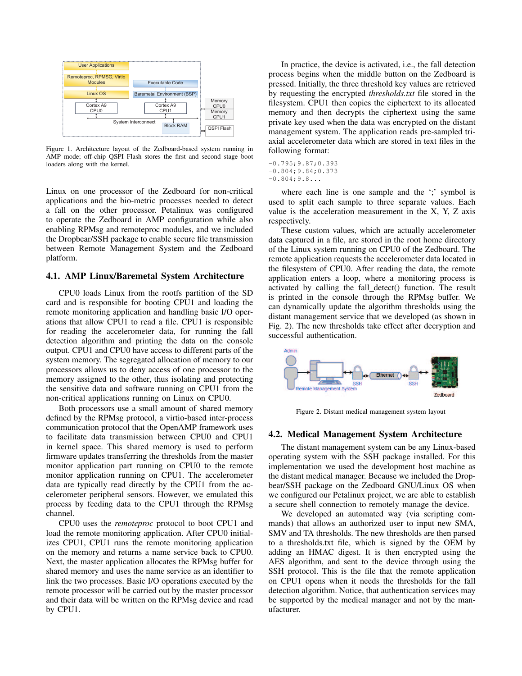

Figure 1. Architecture layout of the Zedboard-based system running in AMP mode; off-chip QSPI Flash stores the first and second stage boot loaders along with the kernel.

Linux on one processor of the Zedboard for non-critical applications and the bio-metric processes needed to detect a fall on the other processor. Petalinux was configured to operate the Zedboard in AMP configuration while also enabling RPMsg and remoteproc modules, and we included the Dropbear/SSH package to enable secure file transmission between Remote Management System and the Zedboard platform.

#### 4.1. AMP Linux/Baremetal System Architecture

CPU0 loads Linux from the rootfs partition of the SD card and is responsible for booting CPU1 and loading the remote monitoring application and handling basic I/O operations that allow CPU1 to read a file. CPU1 is responsible for reading the accelerometer data, for running the fall detection algorithm and printing the data on the console output. CPU1 and CPU0 have access to different parts of the system memory. The segregated allocation of memory to our processors allows us to deny access of one processor to the memory assigned to the other, thus isolating and protecting the sensitive data and software running on CPU1 from the non-critical applications running on Linux on CPU0.

Both processors use a small amount of shared memory defined by the RPMsg protocol, a virtio-based inter-process communication protocol that the OpenAMP framework uses to facilitate data transmission between CPU0 and CPU1 in kernel space. This shared memory is used to perform firmware updates transferring the thresholds from the master monitor application part running on CPU0 to the remote monitor application running on CPU1. The accelerometer data are typically read directly by the CPU1 from the accelerometer peripheral sensors. However, we emulated this process by feeding data to the CPU1 through the RPMsg channel.

CPU0 uses the *remoteproc* protocol to boot CPU1 and load the remote monitoring application. After CPU0 initializes CPU1, CPU1 runs the remote monitoring application on the memory and returns a name service back to CPU0. Next, the master application allocates the RPMsg buffer for shared memory and uses the name service as an identifier to link the two processes. Basic I/O operations executed by the remote processor will be carried out by the master processor and their data will be written on the RPMsg device and read by CPU1.

In practice, the device is activated, i.e., the fall detection process begins when the middle button on the Zedboard is pressed. Initially, the three threshold key values are retrieved by requesting the encrypted *thresholds.txt* file stored in the filesystem. CPU1 then copies the ciphertext to its allocated memory and then decrypts the ciphertext using the same private key used when the data was encrypted on the distant management system. The application reads pre-sampled triaxial accelerometer data which are stored in text files in the following format:

-0.795;9.87;0.393 -0.804;9.84;0.373  $-0.804;9.8...$ 

where each line is one sample and the ';' symbol is used to split each sample to three separate values. Each value is the acceleration measurement in the X, Y, Z axis respectively.

These custom values, which are actually accelerometer data captured in a file, are stored in the root home directory of the Linux system running on CPU0 of the Zedboard. The remote application requests the accelerometer data located in the filesystem of CPU0. After reading the data, the remote application enters a loop, where a monitoring process is activated by calling the fall detect() function. The result is printed in the console through the RPMsg buffer. We can dynamically update the algorithm thresholds using the distant management service that we developed (as shown in Fig. 2). The new thresholds take effect after decryption and successful authentication.



Figure 2. Distant medical management system layout

#### 4.2. Medical Management System Architecture

The distant management system can be any Linux-based operating system with the SSH package installed. For this implementation we used the development host machine as the distant medical manager. Because we included the Dropbear/SSH package on the Zedboard GNU/Linux OS when we configured our Petalinux project, we are able to establish a secure shell connection to remotely manage the device.

We developed an automated way (via scripting commands) that allows an authorized user to input new SMA, SMV and TA thresholds. The new thresholds are then parsed to a thresholds.txt file, which is signed by the OEM by adding an HMAC digest. It is then encrypted using the AES algorithm, and sent to the device through using the SSH protocol. This is the file that the remote application on CPU1 opens when it needs the thresholds for the fall detection algorithm. Notice, that authentication services may be supported by the medical manager and not by the manufacturer.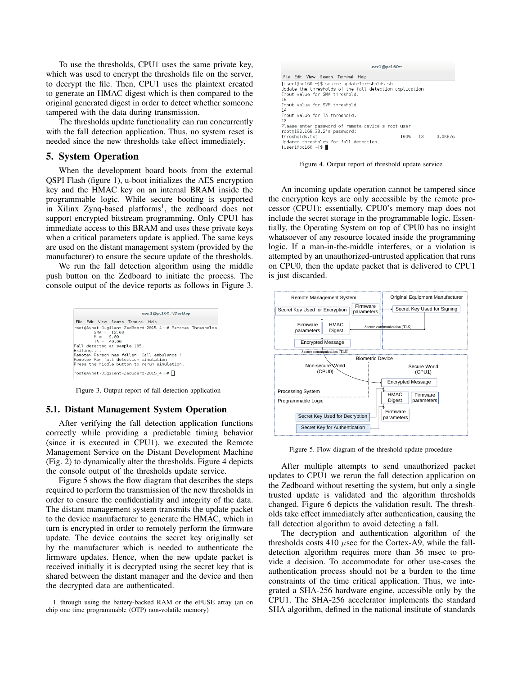To use the thresholds, CPU1 uses the same private key, which was used to encrypt the thresholds file on the server, to decrypt the file. Then, CPU1 uses the plaintext created to generate an HMAC digest which is then compared to the original generated digest in order to detect whether someone tampered with the data during transmission.

The thresholds update functionality can run concurrently with the fall detection application. Thus, no system reset is needed since the new thresholds take effect immediately.

## 5. System Operation

When the development board boots from the external QSPI Flash (figure 1), u-boot initializes the AES encryption key and the HMAC key on an internal BRAM inside the programmable logic. While secure booting is supported in Xilinx Zynq-based platforms<sup>1</sup>, the zedboard does not support encrypted bitstream programming. Only CPU1 has immediate access to this BRAM and uses these private keys when a critical parameters update is applied. The same keys are used on the distant management system (provided by the manufacturer) to ensure the secure update of the thresholds.

We run the fall detection algorithm using the middle push button on the Zedboard to initiate the process. The console output of the device reports as follows in Figure 3.



Figure 3. Output report of fall-detection application

#### 5.1. Distant Management System Operation

After verifying the fall detection application functions correctly while providing a predictable timing behavior (since it is executed in CPU1), we executed the Remote Management Service on the Distant Development Machine (Fig. 2) to dynamically alter the thresholds. Figure 4 depicts the console output of the thresholds update service.

Figure 5 shows the flow diagram that describes the steps required to perform the transmission of the new thresholds in order to ensure the confidentiality and integrity of the data. The distant management system transmits the update packet to the device manufacturer to generate the HMAC, which in turn is encrypted in order to remotely perform the firmware update. The device contains the secret key originally set by the manufacturer which is needed to authenticate the firmware updates. Hence, when the new update packet is received initially it is decrypted using the secret key that is shared between the distant manager and the device and then the decrypted data are authenticated.



Figure 4. Output report of threshold update service

An incoming update operation cannot be tampered since the encryption keys are only accessible by the remote processor (CPU1); essentially, CPU0's memory map does not include the secret storage in the programmable logic. Essentially, the Operating System on top of CPU0 has no insight whatsoever of any resource located inside the programming logic. If a man-in-the-middle interferes, or a violation is attempted by an unauthorized-untrusted application that runs on CPU0, then the update packet that is delivered to CPU1 is just discarded.



Figure 5. Flow diagram of the threshold update procedure

After multiple attempts to send unauthorized packet updates to CPU1 we rerun the fall detection application on the Zedboard without resetting the system, but only a single trusted update is validated and the algorithm thresholds changed. Figure 6 depicts the validation result. The thresholds take effect immediately after authentication, causing the fall detection algorithm to avoid detecting a fall.

The decryption and authentication algorithm of the thresholds costs 410  $\mu$ sec for the Cortex-A9, while the falldetection algorithm requires more than 36 msec to provide a decision. To accommodate for other use-cases the authentication process should not be a burden to the time constraints of the time critical application. Thus, we integrated a SHA-256 hardware engine, accessible only by the CPU1. The SHA-256 accelerator implements the standard SHA algorithm, defined in the national institute of standards

<sup>1.</sup> through using the battery-backed RAM or the eFUSE array (an on chip one time programmable (OTP) non-volatile memory)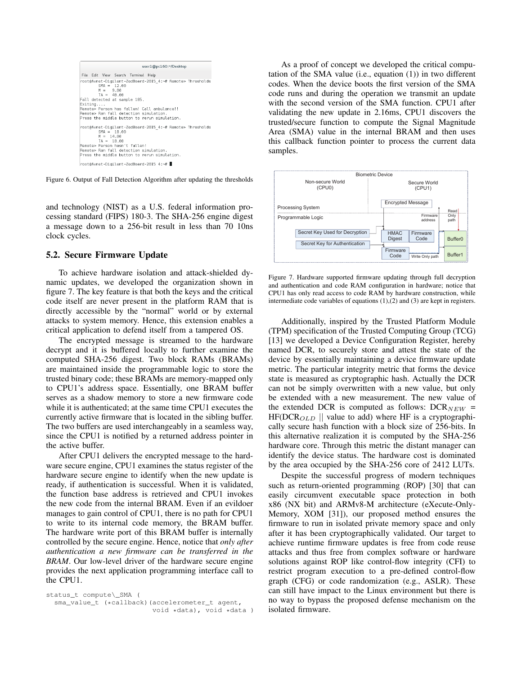

Figure 6. Output of Fall Detection Algorithm after updating the thresholds

and technology (NIST) as a U.S. federal information processing standard (FIPS) 180-3. The SHA-256 engine digest a message down to a 256-bit result in less than 70 10ns clock cycles.

#### 5.2. Secure Firmware Update

To achieve hardware isolation and attack-shielded dynamic updates, we developed the organization shown in figure 7. The key feature is that both the keys and the critical code itself are never present in the platform RAM that is directly accessible by the "normal" world or by external attacks to system memory. Hence, this extension enables a critical application to defend itself from a tampered OS.

The encrypted message is streamed to the hardware decrypt and it is buffered locally to further examine the computed SHA-256 digest. Two block RAMs (BRAMs) are maintained inside the programmable logic to store the trusted binary code; these BRAMs are memory-mapped only to CPU1's address space. Essentially, one BRAM buffer serves as a shadow memory to store a new firmware code while it is authenticated; at the same time CPU1 executes the currently active firmware that is located in the sibling buffer. The two buffers are used interchangeably in a seamless way, since the CPU1 is notified by a returned address pointer in the active buffer.

After CPU1 delivers the encrypted message to the hardware secure engine, CPU1 examines the status register of the hardware secure engine to identify when the new update is ready, if authentication is successful. When it is validated, the function base address is retrieved and CPU1 invokes the new code from the internal BRAM. Even if an evildoer manages to gain control of CPU1, there is no path for CPU1 to write to its internal code memory, the BRAM buffer. The hardware write port of this BRAM buffer is internally controlled by the secure engine. Hence, notice that *only after authentication a new firmware can be transferred in the BRAM*. Our low-level driver of the hardware secure engine provides the next application programming interface call to the CPU1.

status\_t compute\\_SMA ( sma\_value\_t (\*callback)(accelerometer\_t agent, void \*data), void \*data )

As a proof of concept we developed the critical computation of the SMA value (i.e., equation (1)) in two different codes. When the device boots the first version of the SMA code runs and during the operation we transmit an update with the second version of the SMA function. CPU1 after validating the new update in 2.16ms, CPU1 discovers the trusted/secure function to compute the Signal Magnitude Area (SMA) value in the internal BRAM and then uses this callback function pointer to process the current data samples.



Figure 7. Hardware supported firmware updating through full decryption and authentication and code RAM configuration in hardware; notice that CPU1 has only read access to code RAM by hardware construction, while intermediate code variables of equations (1),(2) and (3) are kept in registers.

Additionally, inspired by the Trusted Platform Module (TPM) specification of the Trusted Computing Group (TCG) [13] we developed a Device Configuration Register, hereby named DCR, to securely store and attest the state of the device by essentially maintaining a device firmware update metric. The particular integrity metric that forms the device state is measured as cryptographic hash. Actually the DCR can not be simply overwritten with a new value, but only be extended with a new measurement. The new value of the extended DCR is computed as follows:  $DCR_{NEW}$  =  $HF(DCR_{OLD} \parallel$  value to add) where HF is a cryptographically secure hash function with a block size of 256-bits. In this alternative realization it is computed by the SHA-256 hardware core. Through this metric the distant manager can identify the device status. The hardware cost is dominated by the area occupied by the SHA-256 core of 2412 LUTs.

Despite the successful progress of modern techniques such as return-oriented programming (ROP) [30] that can easily circumvent executable space protection in both x86 (NX bit) and ARMv8-M architecture (eXecute-Only-Memory, XOM [31]), our proposed method ensures the firmware to run in isolated private memory space and only after it has been cryptographically validated. Our target to achieve runtime firmware updates is free from code reuse attacks and thus free from complex software or hardware solutions against ROP like control-flow integrity (CFI) to restrict program execution to a pre-defined control-flow graph (CFG) or code randomization (e.g., ASLR). These can still have impact to the Linux environment but there is no way to bypass the proposed defense mechanism on the isolated firmware.